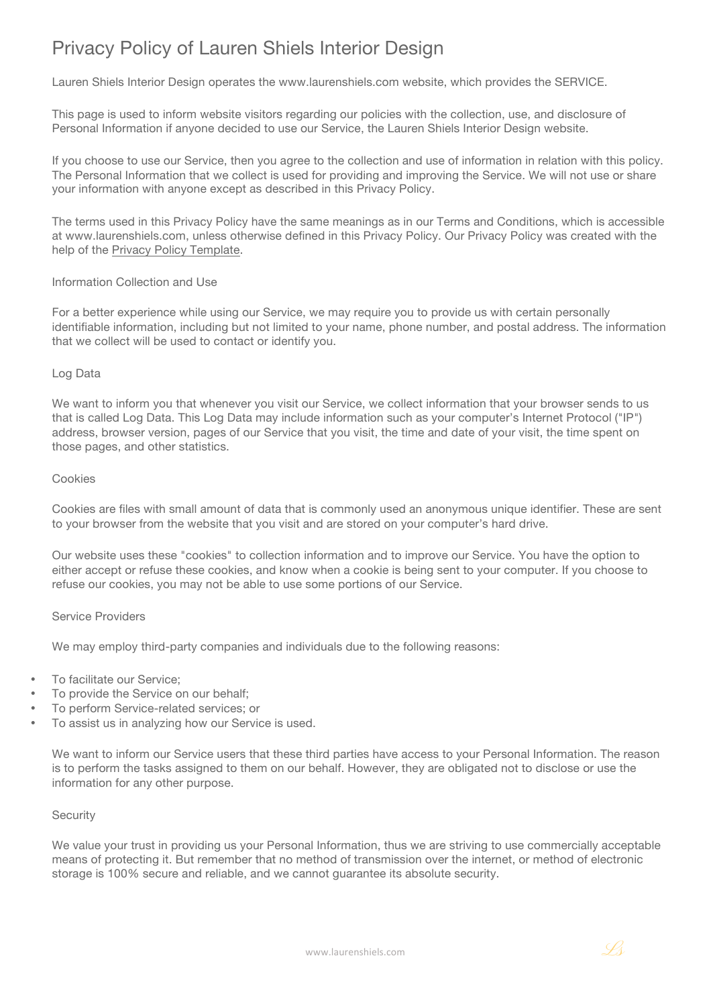# Privacy Policy of Lauren Shiels Interior Design

Lauren Shiels Interior Design operates the www.laurenshiels.com website, which provides the SERVICE.

This page is used to inform website visitors regarding our policies with the collection, use, and disclosure of Personal Information if anyone decided to use our Service, the Lauren Shiels Interior Design website.

If you choose to use our Service, then you agree to the collection and use of information in relation with this policy. The Personal Information that we collect is used for providing and improving the Service. We will not use or share your information with anyone except as described in this Privacy Policy.

The terms used in this Privacy Policy have the same meanings as in our Terms and Conditions, which is accessible at www.laurenshiels.com, unless otherwise defined in this Privacy Policy. Our Privacy Policy was created with the help of the Privacy Policy Template.

## Information Collection and Use

For a better experience while using our Service, we may require you to provide us with certain personally identifiable information, including but not limited to your name, phone number, and postal address. The information that we collect will be used to contact or identify you.

#### Log Data

We want to inform you that whenever you visit our Service, we collect information that your browser sends to us that is called Log Data. This Log Data may include information such as your computer's Internet Protocol ("IP") address, browser version, pages of our Service that you visit, the time and date of your visit, the time spent on those pages, and other statistics.

#### Cookies

Cookies are files with small amount of data that is commonly used an anonymous unique identifier. These are sent to your browser from the website that you visit and are stored on your computer's hard drive.

Our website uses these "cookies" to collection information and to improve our Service. You have the option to either accept or refuse these cookies, and know when a cookie is being sent to your computer. If you choose to refuse our cookies, you may not be able to use some portions of our Service.

#### Service Providers

We may employ third-party companies and individuals due to the following reasons:

- To facilitate our Service:
- To provide the Service on our behalf:
- To perform Service-related services; or
- To assist us in analyzing how our Service is used.

We want to inform our Service users that these third parties have access to your Personal Information. The reason is to perform the tasks assigned to them on our behalf. However, they are obligated not to disclose or use the information for any other purpose.

#### **Security**

We value your trust in providing us your Personal Information, thus we are striving to use commercially acceptable means of protecting it. But remember that no method of transmission over the internet, or method of electronic storage is 100% secure and reliable, and we cannot guarantee its absolute security.